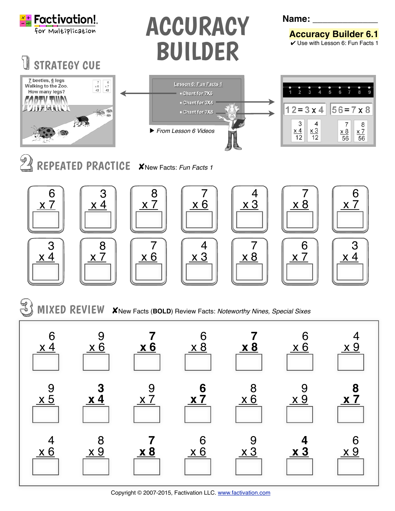

STRATEGY CUE

## ACCURACY BUILDER

**Name: \_\_\_\_\_\_\_\_\_\_\_\_\_**

**Accuracy Builder 6.1 ✓ Use with Lesson 6: Fun Facts 1** 



REPEATED PRACTICE XNew Facts: Fun Facts 1



✘New Facts (**BOLD**) Review Facts: *Noteworthy Nines, Special Sixes* MIXED REVIEW